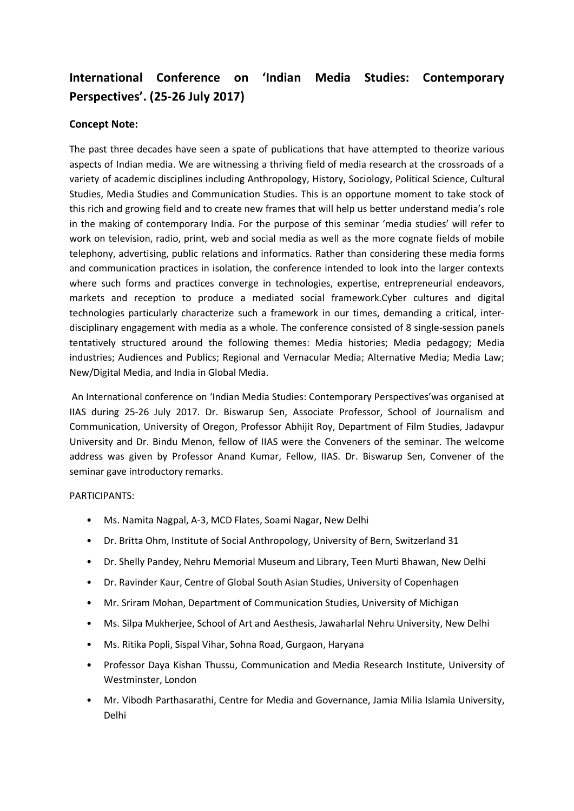## **International Conference on 'Indian Media Studies: Contemporary Perspectives'. (25-26 July 2017)**

## **Concept Note:**

The past three decades have seen a spate of publications that have attempted to theorize various aspects of Indian media. We are witnessing a thriving field of media research at the crossroads of a variety of academic disciplines including Anthropology, History, Sociology, Political Science, Cultural Studies, Media Studies and Communication Studies. This is an opportune moment to take stock of this rich and growing field and to create new frames that will help us better understand media's role in the making of contemporary India. For the purpose of this seminar 'media studies' will refer to work on television, radio, print, web and social media as well as the more cognate fields of mobile telephony, advertising, public relations and informatics. Rather than considering these media forms and communication practices in isolation, the conference intended to look into the larger contexts where such forms and practices converge in technologies, expertise, entrepreneurial endeavors, markets and reception to produce a mediated social framework.Cyber cultures and digital technologies particularly characterize such a framework in our times, demanding a critical, interdisciplinary engagement with media as a whole. The conference consisted of 8 single-session panels tentatively structured around the following themes: Media histories; Media pedagogy; Media industries; Audiences and Publics; Regional and Vernacular Media; Alternative Media; Media Law; New/Digital Media, and India in Global Media.

An International conference on 'Indian Media Studies: Contemporary Perspectives'was organised at IIAS during 25-26 July 2017. Dr. Biswarup Sen, Associate Professor, School of Journalism and Communication, University of Oregon, Professor Abhijit Roy, Department of Film Studies, Jadavpur University and Dr. Bindu Menon, fellow of IIAS were the Conveners of the seminar. The welcome address was given by Professor Anand Kumar, Fellow, IIAS. Dr. Biswarup Sen, Convener of the seminar gave introductory remarks.

## PARTICIPANTS:

- Ms. Namita Nagpal, A-3, MCD Flates, Soami Nagar, New Delhi
- Dr. Britta Ohm, Institute of Social Anthropology, University of Bern, Switzerland 31
- Dr. Shelly Pandey, Nehru Memorial Museum and Library, Teen Murti Bhawan, New Delhi
- Dr. Ravinder Kaur, Centre of Global South Asian Studies, University of Copenhagen
- Mr. Sriram Mohan, Department of Communication Studies, University of Michigan
- Ms. Silpa Mukherjee, School of Art and Aesthesis, Jawaharlal Nehru University, New Delhi
- Ms. Ritika Popli, Sispal Vihar, Sohna Road, Gurgaon, Haryana
- Professor Daya Kishan Thussu, Communication and Media Research Institute, University of Westminster, London
- Mr. Vibodh Parthasarathi, Centre for Media and Governance, Jamia Milia Islamia University, Delhi